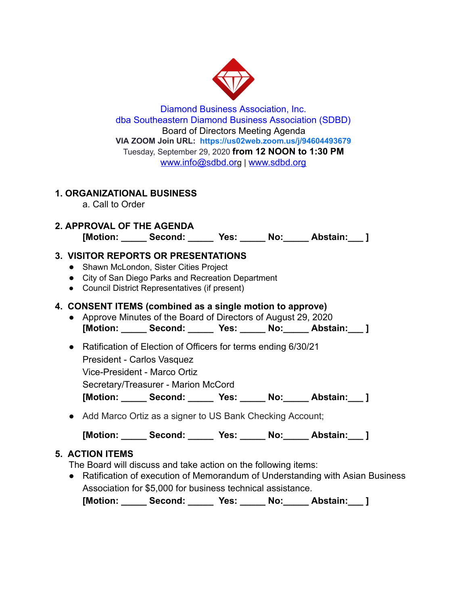

Diamond Business Association, Inc. dba Southeastern Diamond Business Association (SDBD) Board of Directors Meeting Agenda **VIA ZOOM Join URL: <https://us02web.zoom.us/j/94604493679>** Tuesday, September 29, 2020 **from 12 NOON to 1:30 PM**  www.info@sdbd.org | [www.sdbd.org](http://www.sdbd.org/)

# **1. ORGANIZATIONAL BUSINESS**

a. Call to Order

## **2. APPROVAL OF THE AGENDA [Motion: \_\_\_\_\_ Second: \_\_\_\_\_ Yes: \_\_\_\_\_ No:\_\_\_\_\_ Abstain:\_\_\_ ]**

# **3. VISITOR REPORTS OR PRESENTATIONS**

- **●** Shawn McLondon, Sister Cities Project
- City of San Diego Parks and Recreation Department
- Council District Representatives (if present)

# **4. CONSENT ITEMS (combined as a single motion to approve)**

- Approve Minutes of the Board of Directors of August 29, 2020 **[Motion: \_\_\_\_\_ Second: \_\_\_\_\_ Yes: \_\_\_\_\_ No:\_\_\_\_\_ Abstain:\_\_\_ ]**
- Ratification of Election of Officers for terms ending 6/30/21 President - Carlos Vasquez Vice-President - Marco Ortiz Secretary/Treasurer - Marion McCord **[Motion: \_\_\_\_\_ Second: \_\_\_\_\_ Yes: \_\_\_\_\_ No:\_\_\_\_\_ Abstain:\_\_\_ ]**
- **●** Add Marco Ortiz as a signer to US Bank Checking Account;

**[Motion: \_\_\_\_\_ Second: \_\_\_\_\_ Yes: \_\_\_\_\_ No:\_\_\_\_\_ Abstain:\_\_\_ ]** 

# **5. ACTION ITEMS**

The Board will discuss and take action on the following items:

● Ratification of execution of Memorandum of Understanding with Asian Business Association for \$5,000 for business technical assistance.

**[Motion: \_\_\_\_\_ Second: \_\_\_\_\_ Yes: \_\_\_\_\_ No:\_\_\_\_\_ Abstain:\_\_\_ ]**